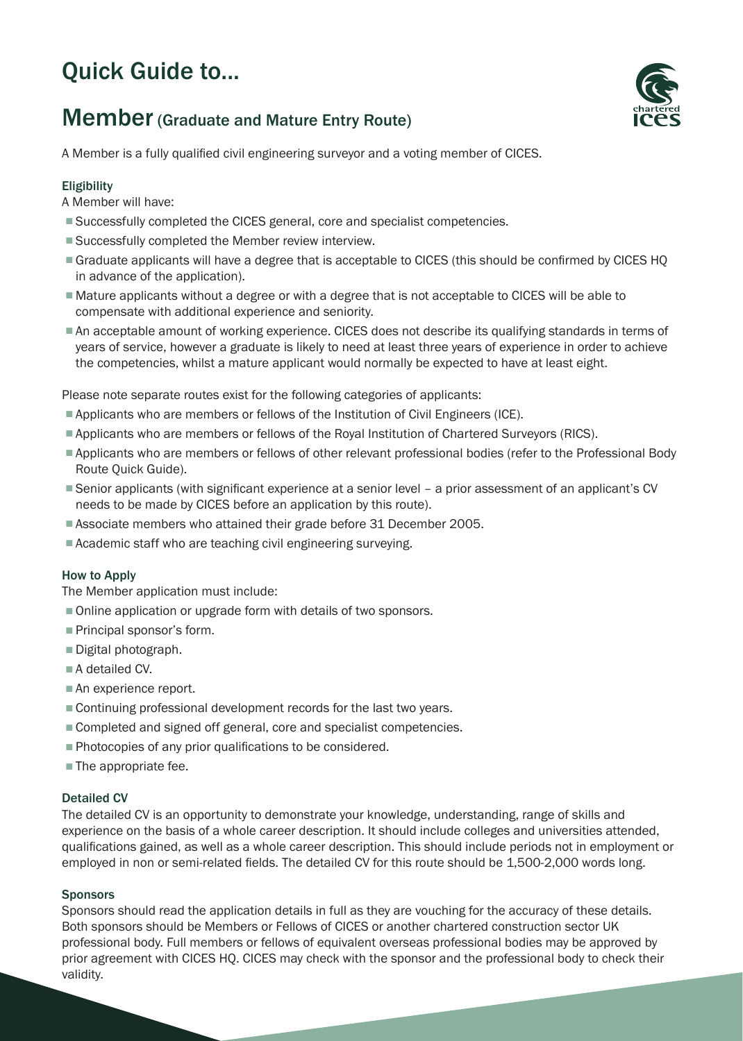# Quick Guide to...

## Member (Graduate and Mature Entry Route)

A Member is a fully qualified civil engineering surveyor and a voting member of CICES.

### **Eligibility**

A Member will have:

- Successfully completed the CICES general, core and specialist competencies.
- Successfully completed the Member review interview.
- Graduate applicants will have a degree that is acceptable to CICES (this should be confirmed by CICES HQ in advance of the application).
- Mature applicants without a degree or with a degree that is not acceptable to CICES will be able to compensate with additional experience and seniority.
- An acceptable amount of working experience. CICES does not describe its qualifying standards in terms of years of service, however a graduate is likely to need at least three years of experience in order to achieve the competencies, whilst a mature applicant would normally be expected to have at least eight.

Please note separate routes exist for the following categories of applicants:

- Applicants who are members or fellows of the Institution of Civil Engineers (ICE).
- Applicants who are members or fellows of the Royal Institution of Chartered Surveyors (RICS).
- Applicants who are members or fellows of other relevant professional bodies (refer to the Professional Body Route Quick Guide).
- Senior applicants (with significant experience at a senior level a prior assessment of an applicant's CV needs to be made by CICES before an application by this route).
- Associate members who attained their grade before 31 December 2005.
- Academic staff who are teaching civil engineering surveying.

#### How to Apply

The Member application must include:

- Online application or upgrade form with details of two sponsors.
- Principal sponsor's form.
- Digital photograph.
- A detailed CV.
- An experience report.
- Continuing professional development records for the last two years.
- Completed and signed off general, core and specialist competencies.
- Photocopies of any prior qualifications to be considered.
- The appropriate fee.

#### Detailed CV

The detailed CV is an opportunity to demonstrate your knowledge, understanding, range of skills and experience on the basis of a whole career description. It should include colleges and universities attended, qualifications gained, as well as a whole career description. This should include periods not in employment or employed in non or semi-related fields. The detailed CV for this route should be 1,500-2,000 words long.

#### Sponsors

Sponsors should read the application details in full as they are vouching for the accuracy of these details. Both sponsors should be Members or Fellows of CICES or another chartered construction sector UK professional body. Full members or fellows of equivalent overseas professional bodies may be approved by prior agreement with CICES HQ. CICES may check with the sponsor and the professional body to check their validity.